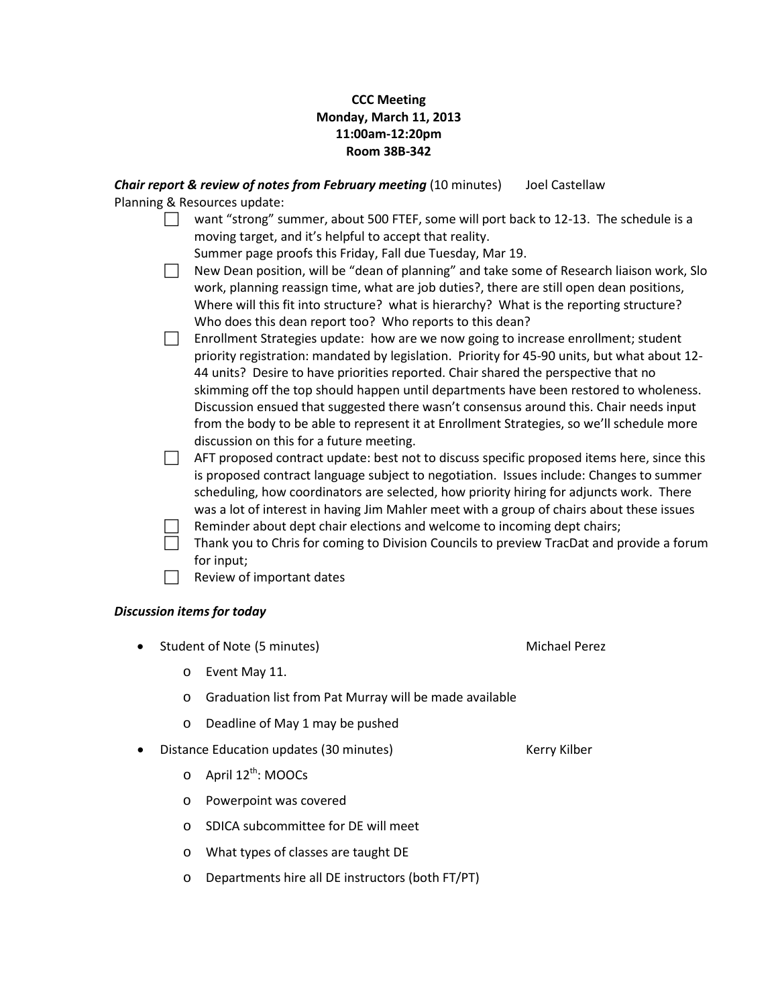## **CCC Meeting Monday, March 11, 2013 11:00am-12:20pm Room 38B-342**

*Chair report & review of notes from February meeting* (10 minutes) Joel Castellaw Planning & Resources update:

> want "strong" summer, about 500 FTEF, some will port back to 12-13. The schedule is a moving target, and it's helpful to accept that reality.

Summer page proofs this Friday, Fall due Tuesday, Mar 19.

- New Dean position, will be "dean of planning" and take some of Research liaison work, Slo work, planning reassign time, what are job duties?, there are still open dean positions, Where will this fit into structure? what is hierarchy? What is the reporting structure? Who does this dean report too? Who reports to this dean?
- $\Box$  Enrollment Strategies update: how are we now going to increase enrollment; student priority registration: mandated by legislation. Priority for 45-90 units, but what about 12- 44 units? Desire to have priorities reported. Chair shared the perspective that no skimming off the top should happen until departments have been restored to wholeness. Discussion ensued that suggested there wasn't consensus around this. Chair needs input from the body to be able to represent it at Enrollment Strategies, so we'll schedule more discussion on this for a future meeting.

 $\Box$  AFT proposed contract update: best not to discuss specific proposed items here, since this is proposed contract language subject to negotiation. Issues include: Changes to summer scheduling, how coordinators are selected, how priority hiring for adjuncts work. There was a lot of interest in having Jim Mahler meet with a group of chairs about these issues Reminder about dept chair elections and welcome to incoming dept chairs;

- Thank you to Chris for coming to Division Councils to preview TracDat and provide a forum for input;
- $\Box$  Review of important dates

## *Discussion items for today*

- Student of Note (5 minutes) Michael Perez
	- o Event May 11.
	- o Graduation list from Pat Murray will be made available
	- Deadline of May 1 may be pushed
- Distance Education updates (30 minutes) Kerry Kilber
	- $\circ$  April 12<sup>th</sup>: MOOCs
	- o Powerpoint was covered
	- o SDICA subcommittee for DE will meet
	- o What types of classes are taught DE
	- o Departments hire all DE instructors (both FT/PT)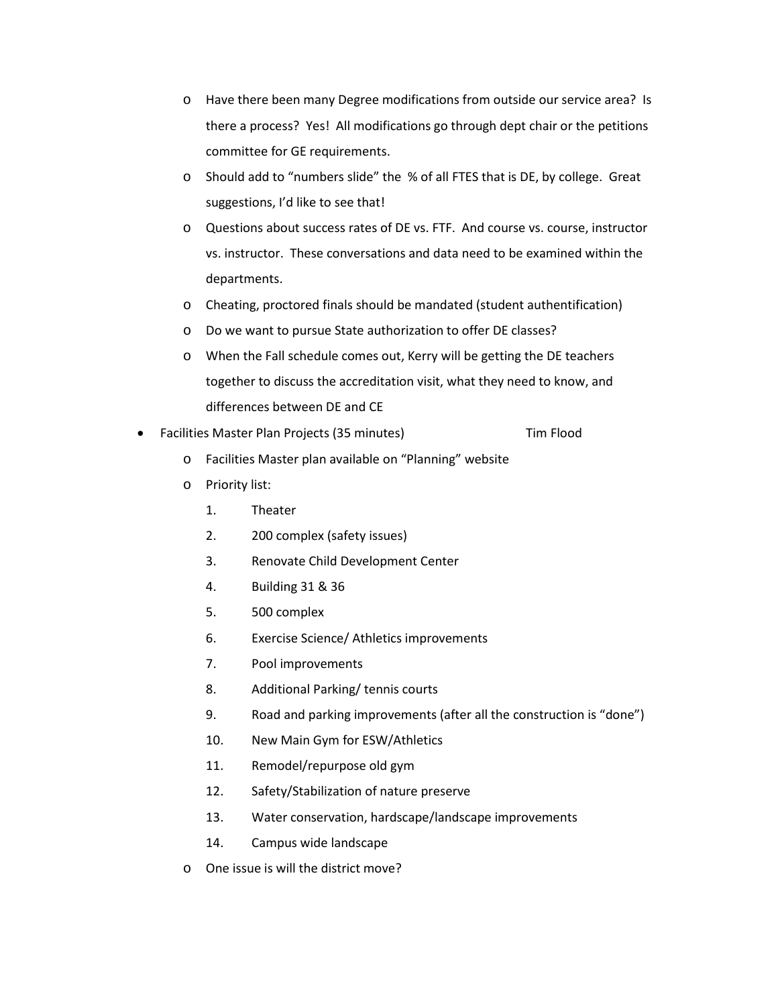- o Have there been many Degree modifications from outside our service area? Is there a process? Yes! All modifications go through dept chair or the petitions committee for GE requirements.
- o Should add to "numbers slide" the % of all FTES that is DE, by college. Great suggestions, I'd like to see that!
- o Questions about success rates of DE vs. FTF. And course vs. course, instructor vs. instructor. These conversations and data need to be examined within the departments.
- o Cheating, proctored finals should be mandated (student authentification)
- o Do we want to pursue State authorization to offer DE classes?
- o When the Fall schedule comes out, Kerry will be getting the DE teachers together to discuss the accreditation visit, what they need to know, and differences between DE and CE
- Facilities Master Plan Projects (35 minutes) Tim Flood
	- o Facilities Master plan available on "Planning" website
	- o Priority list:
		- 1. Theater
		- 2. 200 complex (safety issues)
		- 3. Renovate Child Development Center
		- 4. Building 31 & 36
		- 5. 500 complex
		- 6. Exercise Science/ Athletics improvements
		- 7. Pool improvements
		- 8. Additional Parking/ tennis courts
		- 9. Road and parking improvements (after all the construction is "done")
		- 10. New Main Gym for ESW/Athletics
		- 11. Remodel/repurpose old gym
		- 12. Safety/Stabilization of nature preserve
		- 13. Water conservation, hardscape/landscape improvements
		- 14. Campus wide landscape
	- o One issue is will the district move?